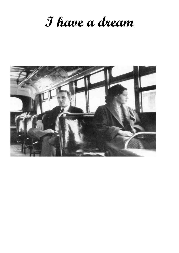**I have a dream**

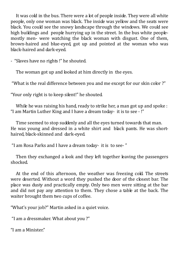It was cold in the bus. There were a lot of people inside. They were all white people, only one woman was black. The inside was yellow and the seats were black. You could see the snowy landscape through the windows. We could see high buildings and people hurrying up in the street. In the bus white peoplemostly men- were watching the black woman with disgust. One of them, brown-haired and blue-eyed, got up and pointed at the woman who was black-haired and dark-eyed.

- "Slaves have no rights !" he shouted.

The woman got up and looked at him directly in the eyes.

"What is the real difference between you and me except for our skin color ?"

"Your only right is to keep silent!" he shouted.

While he was raising his hand, ready to strike her, a man got up and spoke : "I am Martin Luther King and I have a dream today- it is to see - !"

 Time seemed to stop suddenly and all the eyes turned towards that man. He was young and dressed in a white shirt and black pants. He was shorthaired, black-skinned and dark-eyed.

"I am Rosa Parks and I have a dream today- it is to see- "

 Then they exchanged a look and they left together leaving the passengers shocked.

 At the end of this afternoon, the weather was freezing cold. The streets were deserted. Without a word they pushed the door of the closest bar. The place was dusty and practically empty. Only two men were sitting at the bar and did not pay any attention to them. They chose a table at the back. The waiter brought them two cups of coffee.

"What's your job?" Martin asked in a quiet voice.

"I am a dressmaker. What about you ?"

"I am a Minister."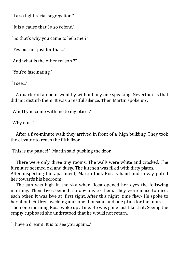"I also fight racial segregation."

"It is a cause that I also defend."

"So that's why you came to help me ?"

"Yes but not just for that..."

"And what is the other reason ?"

"You're fascinating."

"I see..."

 A quarter of an hour went by without any one speaking. Nevertheless that did not disturb them. It was a restful silence. Then Martin spoke up :

"Would you come with me to my place ?"

"Why not..."

 After a five-minute walk they arrived in front of a high building. They took the elevator to reach the fifth floor.

"This is my palace!" Martin said pushing the door.

 There were only three tiny rooms. The walls were white and cracked. The furniture seemed old and dusty. The kitchen was filled with dirty plates. After inspecting the apartment, Martin took Rosa's hand and slowly pulled her towards his bedroom.

 The sun was high in the sky when Rosa opened her eyes the following morning. Their love seemed so obvious to them. They were made to meet each other. It was love at first sight. After this night time flew- He spoke to her about children, wedding and one thousand and one plans for the future. Then one morning Rosa woke up alone. He was gone just like that. Seeing the empty cupboard she understood that he would not return.

"I have a dream! It is to see you again..."